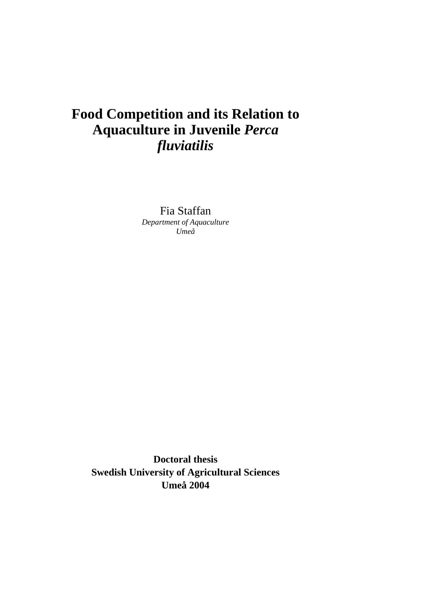# **Food Competition and its Relation to Aquaculture in Juvenile** *Perca fluviatilis*

Fia Staffan *Department of Aquaculture Umeå* 

**Doctoral thesis Swedish University of Agricultural Sciences Umeå 2004**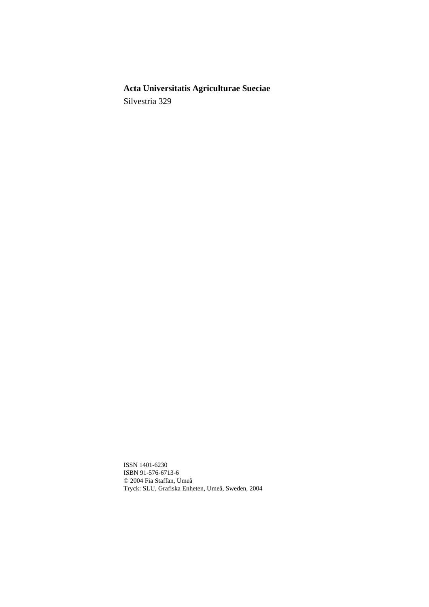# **Acta Universitatis Agriculturae Sueciae**

Silvestria 329

ISSN 1401-6230 ISBN 91-576-6713-6 © 2004 Fia Staffan, Umeå Tryck: SLU, Grafiska Enheten, Umeå, Sweden, 2004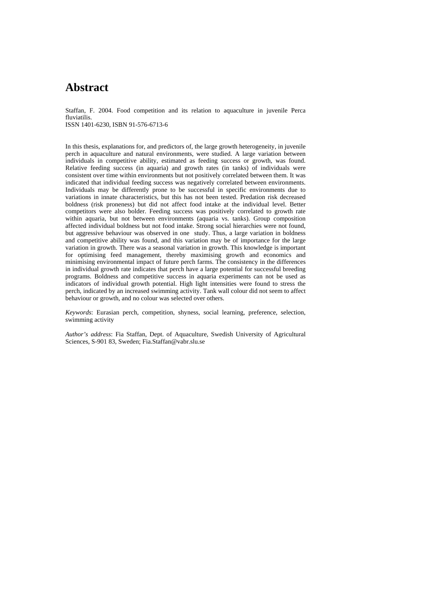# **Abstract**

Staffan, F. 2004. Food competition and its relation to aquaculture in juvenile Perca fluviatilis.

ISSN 1401-6230, ISBN 91-576-6713-6

In this thesis, explanations for, and predictors of, the large growth heterogeneity, in juvenile perch in aquaculture and natural environments, were studied. A large variation between individuals in competitive ability, estimated as feeding success or growth, was found. Relative feeding success (in aquaria) and growth rates (in tanks) of individuals were consistent over time within environments but not positively correlated between them. It was indicated that individual feeding success was negatively correlated between environments. Individuals may be differently prone to be successful in specific environments due to variations in innate characteristics, but this has not been tested. Predation risk decreased boldness (risk proneness) but did not affect food intake at the individual level. Better competitors were also bolder. Feeding success was positively correlated to growth rate within aquaria, but not between environments (aquaria vs. tanks). Group composition affected individual boldness but not food intake. Strong social hierarchies were not found, but aggressive behaviour was observed in one study. Thus, a large variation in boldness and competitive ability was found, and this variation may be of importance for the large variation in growth. There was a seasonal variation in growth. This knowledge is important for optimising feed management, thereby maximising growth and economics and minimising environmental impact of future perch farms. The consistency in the differences in individual growth rate indicates that perch have a large potential for successful breeding programs. Boldness and competitive success in aquaria experiments can not be used as indicators of individual growth potential. High light intensities were found to stress the perch, indicated by an increased swimming activity. Tank wall colour did not seem to affect behaviour or growth, and no colour was selected over others.

*Keywords*: Eurasian perch, competition, shyness, social learning, preference, selection, swimming activity

*Author's address*: Fia Staffan, Dept. of Aquaculture, Swedish University of Agricultural Sciences, S-901 83, Sweden; Fia.Staffan@vabr.slu.se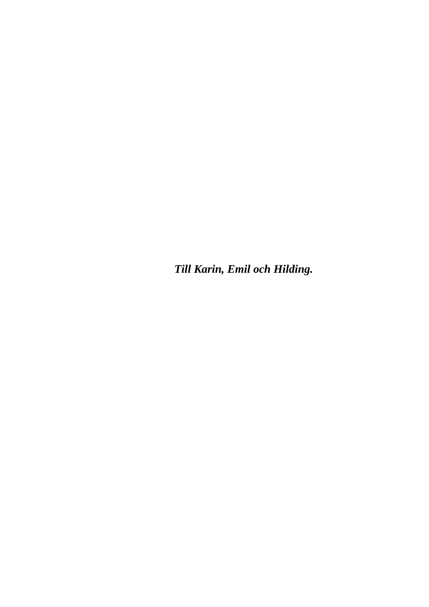*Till Karin, Emil och Hilding.*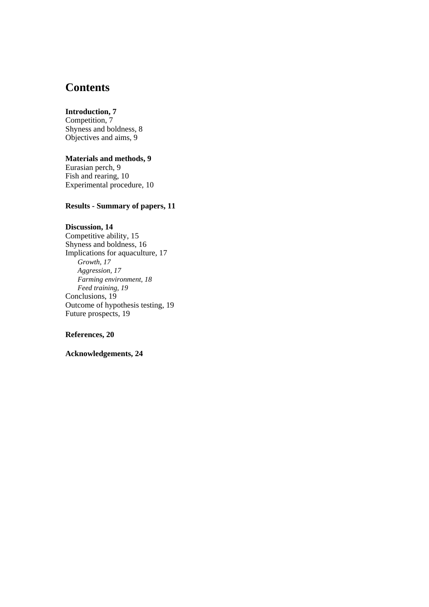# **Contents**

#### **Introduction, 7**

Competition, 7 Shyness and boldness, 8 Objectives and aims, 9

#### **Materials and methods, 9**

Eurasian perch, 9 Fish and rearing, 10 Experimental procedure, 10

#### **Results - Summary of papers, 11**

### **Discussion, 14**

Competitive ability, 15 Shyness and boldness, 16 Implications for aquaculture, 17 *Growth, 17 Aggression, 17 Farming environment, 18 Feed training, 19*  Conclusions, 19 Outcome of hypothesis testing, 19 Future prospects, 19

#### **References, 20**

**Acknowledgements, 24**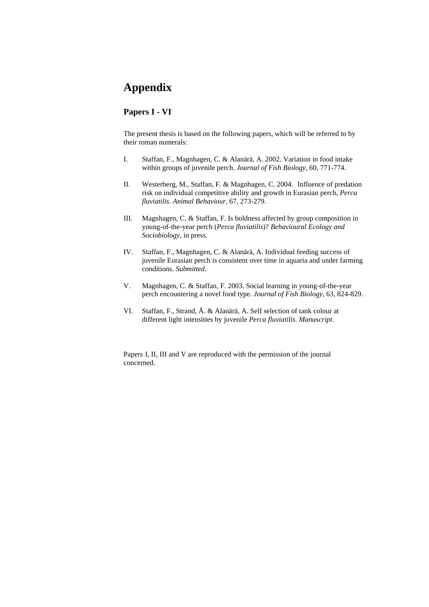# **Appendix**

#### **Papers I - VI**

The present thesis is based on the following papers, which will be referred to by their roman numerals:

- I. Staffan, F., Magnhagen, C. & Alanärä, A. 2002. Variation in food intake within groups of juvenile perch. *Journal of Fish Biology*, 60, 771-774.
- II. Westerberg, M., Staffan, F. & Magnhagen, C. 2004. Influence of predation risk on individual competitive ability and growth in Eurasian perch, *Perca fluviatilis*. *Animal Behaviour*, 67, 273-279.
- III. Magnhagen, C. & Staffan, F. Is boldness affected by group composition in young-of-the-year perch (*Perca fluviatilis*)? *Behavioural Ecology and Sociobiology*, in press.
- IV. Staffan, F., Magnhagen, C. & Alanärä, A. Individual feeding success of juvenile Eurasian perch is consistent over time in aquaria and under farming conditions. *Submitted*.
- V. Magnhagen, C. & Staffan, F. 2003. Social learning in young-of-the-year perch encountering a novel food type. *Journal of Fish Biology*, 63, 824-829.
- VI. Staffan, F., Strand, Å. & Alanärä, A. Self selection of tank colour at different light intensities by juvenile *Perca fluviatilis*. *Manuscript*.

Papers I, II, III and V are reproduced with the permission of the journal concerned.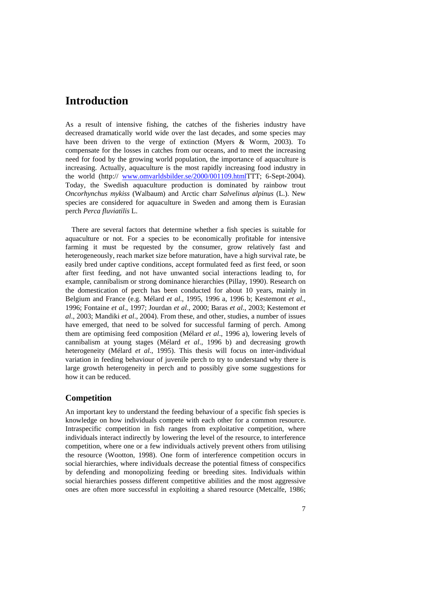## **Introduction**

As a result of intensive fishing, the catches of the fisheries industry have decreased dramatically world wide over the last decades, and some species may have been driven to the verge of extinction (Myers & Worm, 2003). To compensate for the losses in catches from our oceans, and to meet the increasing need for food by the growing world population, the importance of aquaculture is increasing. Actually, aquaculture is the most rapidly increasing food industry in the world (http:// [www.omvarldsbilder.se/2000/001109.htmlT](http://www.omvarldsbilder.se/2000/001109.html)TT; 6-Sept-2004). Today, the Swedish aquaculture production is dominated by rainbow trout *Oncorhynchus mykiss* (Walbaum) and Arctic charr *Salvelinus alpinus* (L.). New species are considered for aquaculture in Sweden and among them is Eurasian perch *Perca fluviatilis* L.

There are several factors that determine whether a fish species is suitable for aquaculture or not. For a species to be economically profitable for intensive farming it must be requested by the consumer, grow relatively fast and heterogeneously, reach market size before maturation, have a high survival rate, be easily bred under captive conditions, accept formulated feed as first feed, or soon after first feeding, and not have unwanted social interactions leading to, for example, cannibalism or strong dominance hierarchies (Pillay, 1990). Research on the domestication of perch has been conducted for about 10 years, mainly in Belgium and France (e.g. Mélard *et al*., 1995, 1996 a, 1996 b; Kestemont *et al*., 1996; Fontaine *et al*., 1997; Jourdan *et al*., 2000; Baras *et al*., 2003; Kestemont *et al*., 2003; Mandiki *et al*., 2004). From these, and other, studies, a number of issues have emerged, that need to be solved for successful farming of perch. Among them are optimising feed composition (Mélard *et al*., 1996 a), lowering levels of cannibalism at young stages (Mélard *et al*., 1996 b) and decreasing growth heterogeneity (Mélard *et al*., 1995). This thesis will focus on inter-individual variation in feeding behaviour of juvenile perch to try to understand why there is large growth heterogeneity in perch and to possibly give some suggestions for how it can be reduced.

#### **Competition**

An important key to understand the feeding behaviour of a specific fish species is knowledge on how individuals compete with each other for a common resource. Intraspecific competition in fish ranges from exploitative competition, where individuals interact indirectly by lowering the level of the resource, to interference competition, where one or a few individuals actively prevent others from utilising the resource (Wootton, 1998). One form of interference competition occurs in social hierarchies, where individuals decrease the potential fitness of conspecifics by defending and monopolizing feeding or breeding sites. Individuals within social hierarchies possess different competitive abilities and the most aggressive ones are often more successful in exploiting a shared resource (Metcalfe, 1986;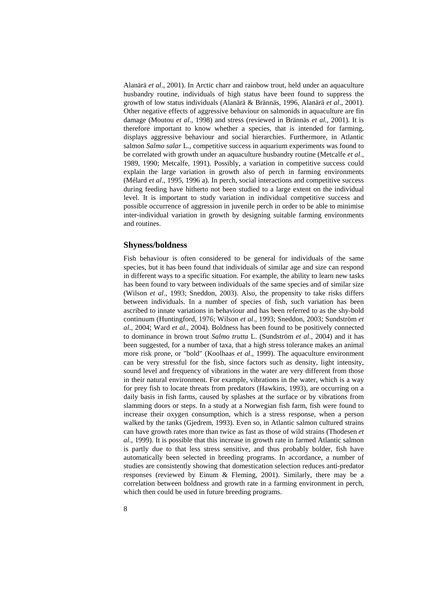Alanärä *et al*., 2001). In Arctic charr and rainbow trout, held under an aquaculture husbandry routine, individuals of high status have been found to suppress the growth of low status individuals (Alanärä & Brännäs, 1996, Alanärä *et al*., 2001). Other negative effects of aggressive behaviour on salmonids in aquaculture are fin damage (Moutou *et al*., 1998) and stress (reviewed in Brännäs *et al*., 2001). It is therefore important to know whether a species, that is intended for farming, displays aggressive behaviour and social hierarchies. Furthermore, in Atlantic salmon *Salmo salar* L., competitive success in aquarium experiments was found to be correlated with growth under an aquaculture husbandry routine (Metcalfe *et al*., 1989, 1990; Metcalfe, 1991). Possibly, a variation in competitive success could explain the large variation in growth also of perch in farming environments (Mélard *et al*., 1995, 1996 a). In perch, social interactions and competitive success during feeding have hitherto not been studied to a large extent on the individual level. It is important to study variation in individual competitive success and possible occurrence of aggression in juvenile perch in order to be able to minimise inter-individual variation in growth by designing suitable farming environments and routines.

#### **Shyness/boldness**

Fish behaviour is often considered to be general for individuals of the same species, but it has been found that individuals of similar age and size can respond in different ways to a specific situation. For example, the ability to learn new tasks has been found to vary between individuals of the same species and of similar size (Wilson *et al*., 1993; Sneddon, 2003). Also, the propensity to take risks differs between individuals. In a number of species of fish, such variation has been ascribed to innate variations in behaviour and has been referred to as the shy-bold continuum (Huntingford, 1976; Wilson *et al*., 1993; Sneddon, 2003; Sundström *et al*., 2004; Ward *et al*., 2004). Boldness has been found to be positively connected to dominance in brown trout *Salmo trutta* L. (Sundström *et al*., 2004) and it has been suggested, for a number of taxa, that a high stress tolerance makes an animal more risk prone, or "bold" (Koolhaas *et al*., 1999). The aquaculture environment can be very stressful for the fish, since factors such as density, light intensity, sound level and frequency of vibrations in the water are very different from those in their natural environment. For example, vibrations in the water, which is a way for prey fish to locate threats from predators (Hawkins, 1993), are occurring on a daily basis in fish farms, caused by splashes at the surface or by vibrations from slamming doors or steps. In a study at a Norwegian fish farm, fish were found to increase their oxygen consumption, which is a stress response, when a person walked by the tanks (Gjedrem, 1993). Even so, in Atlantic salmon cultured strains can have growth rates more than twice as fast as those of wild strains (Thodesen *et al*., 1999). It is possible that this increase in growth rate in farmed Atlantic salmon is partly due to that less stress sensitive, and thus probably bolder, fish have automatically been selected in breeding programs. In accordance, a number of studies are consistently showing that domestication selection reduces anti-predator responses (reviewed by Einum & Fleming, 2001). Similarly, there may be a correlation between boldness and growth rate in a farming environment in perch, which then could be used in future breeding programs.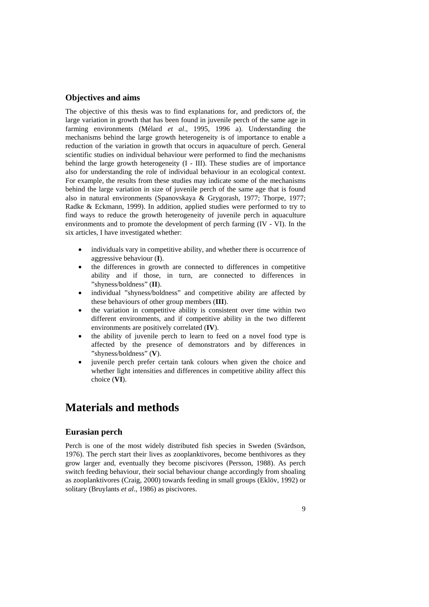#### **Objectives and aims**

The objective of this thesis was to find explanations for, and predictors of, the large variation in growth that has been found in juvenile perch of the same age in farming environments (Mélard *et al*., 1995, 1996 a). Understanding the mechanisms behind the large growth heterogeneity is of importance to enable a reduction of the variation in growth that occurs in aquaculture of perch. General scientific studies on individual behaviour were performed to find the mechanisms behind the large growth heterogeneity (I - III). These studies are of importance also for understanding the role of individual behaviour in an ecological context. For example, the results from these studies may indicate some of the mechanisms behind the large variation in size of juvenile perch of the same age that is found also in natural environments (Spanovskaya & Grygorash, 1977; Thorpe, 1977; Radke & Eckmann, 1999). In addition, applied studies were performed to try to find ways to reduce the growth heterogeneity of juvenile perch in aquaculture environments and to promote the development of perch farming (IV - VI). In the six articles, I have investigated whether:

- individuals vary in competitive ability, and whether there is occurrence of aggressive behaviour (**I**).
- the differences in growth are connected to differences in competitive ability and if those, in turn, are connected to differences in "shyness/boldness" (**II**).
- individual "shyness/boldness" and competitive ability are affected by these behaviours of other group members (**III**).
- the variation in competitive ability is consistent over time within two different environments, and if competitive ability in the two different environments are positively correlated (**IV**).
- the ability of juvenile perch to learn to feed on a novel food type is affected by the presence of demonstrators and by differences in "shyness/boldness" (**V**).
- iuvenile perch prefer certain tank colours when given the choice and whether light intensities and differences in competitive ability affect this choice (**VI**).

## **Materials and methods**

#### **Eurasian perch**

Perch is one of the most widely distributed fish species in Sweden (Svärdson, 1976). The perch start their lives as zooplanktivores, become benthivores as they grow larger and, eventually they become piscivores (Persson, 1988). As perch switch feeding behaviour, their social behaviour change accordingly from shoaling as zooplanktivores (Craig, 2000) towards feeding in small groups (Eklöv, 1992) or solitary (Bruylants *et al*., 1986) as piscivores.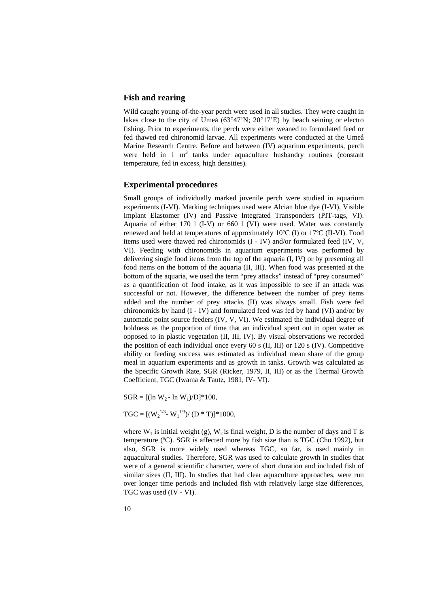#### **Fish and rearing**

Wild caught young-of-the-year perch were used in all studies. They were caught in lakes close to the city of Umeå (63°47'N; 20°17'E) by beach seining or electro fishing. Prior to experiments, the perch were either weaned to formulated feed or fed thawed red chironomid larvae. All experiments were conducted at the Umeå Marine Research Centre. Before and between (IV) aquarium experiments, perch were held in 1  $m<sup>3</sup>$  tanks under aquaculture husbandry routines (constant temperature, fed in excess, high densities).

#### **Experimental procedures**

Small groups of individually marked juvenile perch were studied in aquarium experiments (I-VI). Marking techniques used were Alcian blue dye (I-VI), Visible Implant Elastomer (IV) and Passive Integrated Transponders (PIT-tags, VI). Aquaria of either 170 l (I-V) or 660 l (VI) were used. Water was constantly renewed and held at temperatures of approximately 10ºC (I) or 17ºC (II-VI). Food items used were thawed red chironomids (I - IV) and/or formulated feed (IV, V, VI). Feeding with chironomids in aquarium experiments was performed by delivering single food items from the top of the aquaria (I, IV) or by presenting all food items on the bottom of the aquaria (II, III). When food was presented at the bottom of the aquaria, we used the term "prey attacks" instead of "prey consumed" as a quantification of food intake, as it was impossible to see if an attack was successful or not. However, the difference between the number of prey items added and the number of prey attacks (II) was always small. Fish were fed chironomids by hand (I - IV) and formulated feed was fed by hand (VI) and/or by automatic point source feeders (IV, V, VI). We estimated the individual degree of boldness as the proportion of time that an individual spent out in open water as opposed to in plastic vegetation (II, III, IV). By visual observations we recorded the position of each individual once every 60 s (II, III) or 120 s (IV). Competitive ability or feeding success was estimated as individual mean share of the group meal in aquarium experiments and as growth in tanks. Growth was calculated as the Specific Growth Rate, SGR (Ricker, 1979, II, III) or as the Thermal Growth Coefficient, TGC (Iwama & Tautz, 1981, IV- VI).

 $SGR = [(ln W_2 - ln W_1)/D]^*100,$ 

$$
TGC = [(W_2^{1/3} - W_1^{1/3})/(D * T)] * 1000,
$$

where  $W_1$  is initial weight (g),  $W_2$  is final weight, D is the number of days and T is temperature (ºC). SGR is affected more by fish size than is TGC (Cho 1992), but also, SGR is more widely used whereas TGC, so far, is used mainly in aquacultural studies. Therefore, SGR was used to calculate growth in studies that were of a general scientific character, were of short duration and included fish of similar sizes (II, III). In studies that had clear aquaculture approaches, were run over longer time periods and included fish with relatively large size differences, TGC was used (IV - VI).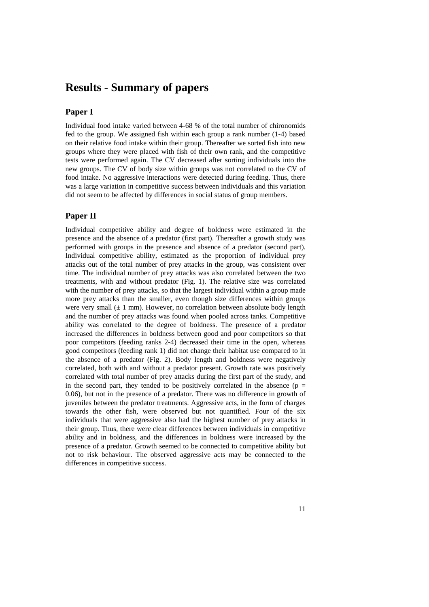### **Results - Summary of papers**

#### **Paper I**

Individual food intake varied between 4-68 % of the total number of chironomids fed to the group. We assigned fish within each group a rank number (1-4) based on their relative food intake within their group. Thereafter we sorted fish into new groups where they were placed with fish of their own rank, and the competitive tests were performed again. The CV decreased after sorting individuals into the new groups. The CV of body size within groups was not correlated to the CV of food intake. No aggressive interactions were detected during feeding. Thus, there was a large variation in competitive success between individuals and this variation did not seem to be affected by differences in social status of group members.

#### **Paper II**

Individual competitive ability and degree of boldness were estimated in the presence and the absence of a predator (first part). Thereafter a growth study was performed with groups in the presence and absence of a predator (second part). Individual competitive ability, estimated as the proportion of individual prey attacks out of the total number of prey attacks in the group, was consistent over time. The individual number of prey attacks was also correlated between the two treatments, with and without predator (Fig. 1). The relative size was correlated with the number of prey attacks, so that the largest individual within a group made more prey attacks than the smaller, even though size differences within groups were very small  $(\pm 1 \text{ mm})$ . However, no correlation between absolute body length and the number of prey attacks was found when pooled across tanks. Competitive ability was correlated to the degree of boldness. The presence of a predator increased the differences in boldness between good and poor competitors so that poor competitors (feeding ranks 2-4) decreased their time in the open, whereas good competitors (feeding rank 1) did not change their habitat use compared to in the absence of a predator (Fig. 2). Body length and boldness were negatively correlated, both with and without a predator present. Growth rate was positively correlated with total number of prey attacks during the first part of the study, and in the second part, they tended to be positively correlated in the absence ( $p =$ 0.06), but not in the presence of a predator. There was no difference in growth of juveniles between the predator treatments. Aggressive acts, in the form of charges towards the other fish, were observed but not quantified. Four of the six individuals that were aggressive also had the highest number of prey attacks in their group. Thus, there were clear differences between individuals in competitive ability and in boldness, and the differences in boldness were increased by the presence of a predator. Growth seemed to be connected to competitive ability but not to risk behaviour. The observed aggressive acts may be connected to the differences in competitive success.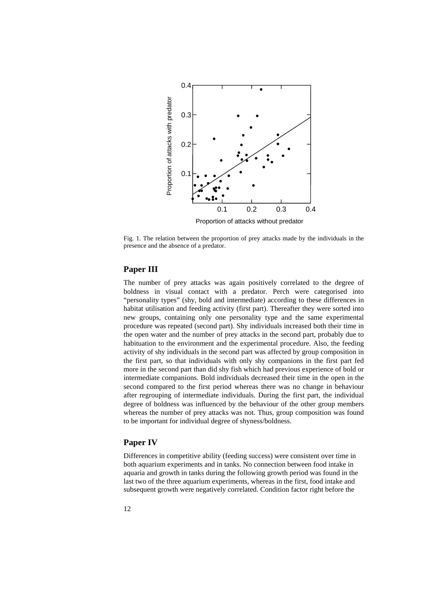

Fig. 1. The relation between the proportion of prey attacks made by the individuals in the presence and the absence of a predator.

#### **Paper III**

The number of prey attacks was again positively correlated to the degree of boldness in visual contact with a predator. Perch were categorised into "personality types" (shy, bold and intermediate) according to these differences in habitat utilisation and feeding activity (first part). Thereafter they were sorted into new groups, containing only one personality type and the same experimental procedure was repeated (second part). Shy individuals increased both their time in the open water and the number of prey attacks in the second part, probably due to habituation to the environment and the experimental procedure. Also, the feeding activity of shy individuals in the second part was affected by group composition in the first part, so that individuals with only shy companions in the first part fed more in the second part than did shy fish which had previous experience of bold or intermediate companions. Bold individuals decreased their time in the open in the second compared to the first period whereas there was no change in behaviour after regrouping of intermediate individuals. During the first part, the individual degree of boldness was influenced by the behaviour of the other group members whereas the number of prey attacks was not. Thus, group composition was found to be important for individual degree of shyness/boldness.

#### **Paper IV**

Differences in competitive ability (feeding success) were consistent over time in both aquarium experiments and in tanks. No connection between food intake in aquaria and growth in tanks during the following growth period was found in the last two of the three aquarium experiments, whereas in the first, food intake and subsequent growth were negatively correlated. Condition factor right before the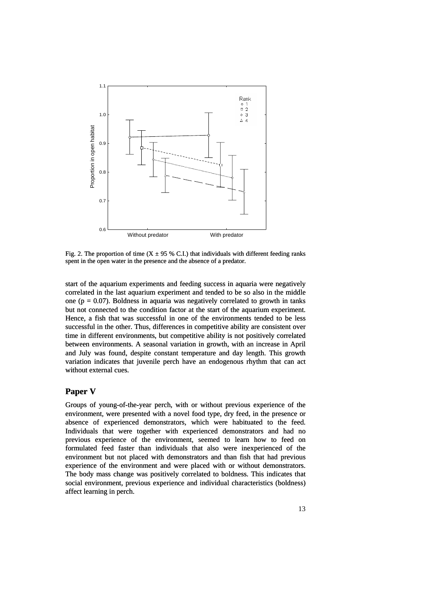

Fig. 2. The proportion of time (X  $\pm$  95 % C.I.) that individuals with different feeding ranks spent in the open water in the presence and the absence of a predator.

start of the aquarium experiments and feeding success in aquaria were negatively correlated in the last aquarium experiment and tended to be so also in the middle one ( $p = 0.07$ ). Boldness in aquaria was negatively correlated to growth in tanks but not connected to the condition factor at the start of the aquarium experiment. Hence, a fish that was successful in one of the environments tended to be less successful in the other. Thus, differences in competitive ability are consistent over time in different environments, but competitive ability is not positively correlated between environments. A seasonal variation in growth, with an increase in April and July was found, despite constant temperature and day length. This growth variation indicates that juvenile perch have an endogenous rhythm that can act without external cues.

#### **Paper V**

social environment, previous experience and individual characteristics (boldness) affect learning in perch. Groups of young-of-the-year perch, with or without previous experience of the environment, were presented with a novel food type, dry feed, in the presence or absence of experienced demonstrators, which were habituated to the feed. Individuals that were together with experienced demonstrators and had no previous experience of the environment, seemed to learn how to feed on formulated feed faster than individuals that also were inexperienced of the environment but not placed with demonstrators and than fish that had previous experience of the environment and were placed with or without demonstrators. The body mass change was positively correlated to boldness. This indicates that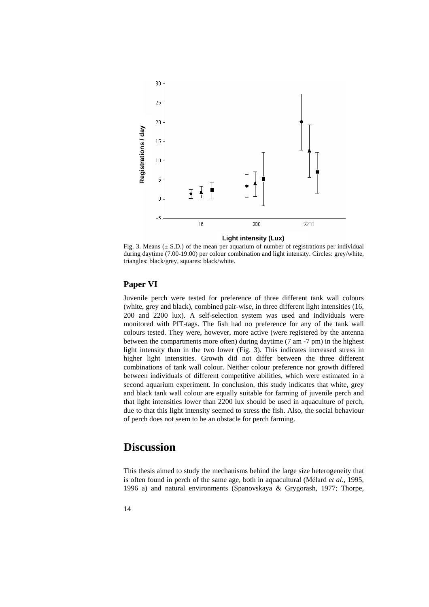

**Light intensity (Lux)**

Fig. 3. Means  $(\pm S.D.)$  of the mean per aquarium of number of registrations per individual during daytime (7.00-19.00) per colour combination and light intensity. Circles: grey/white, triangles: black/grey, squares: black/white.

#### **Paper** VI

Juvenile perch were tested for preference of three different tank wall colours (white, grey and black), combined pair-wise, in three different light intensities (16, **1996**<br> **1996 a 1996 a 1996 a 1996 a 1996 a i c a i c a i c i c i c d i c i c i c d i c i c i c c i c i c c i c i c c i c c** 200 and 2200 lux). A self-selection system was used and individuals were monitored with PIT-tags. The fish had no preference for any of the tank wall colours tested. They were, however, more active (were registered by the antenna between the compartments more often) during daytime (7 am -7 pm) in the highest light intensity than in the two lower (Fig. 3). This indicates increased stress in higher light intensities. Growth did not differ between the three different combinations of tank wall colour. Neither colour preference nor growth differed between individuals of different competitive abilities, which were estimated in a second aquarium experiment. In conclusion, this study indicates that white, grey and black tank wall colour are equally suitable for farming of juvenile perch and that light intensities lower than 2200 lux should be used in aquaculture of perch, due to that this light intensity seemed to stress the fish. Also, the social behaviour of perch does not seem to be an obstacle for perch farming.

# Discussion

This thesis aimed to study the mechanisms behind the large size heterogeneity that is often found in perch of the same age, both in aquacultural (Mélard *et al*., 1995,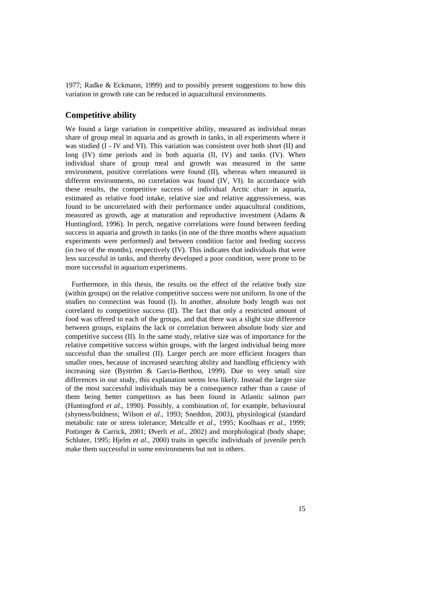1977; Radke & Eckmann, 1999) and to possibly present suggestions to how this variation in growth rate can be reduced in aquacultural environments.

#### **Competitive ability**

We found a large variation in competitive ability, measured as individual mean share of group meal in aquaria and as growth in tanks, in all experiments where it was studied (I - IV and VI). This variation was consistent over both short (II) and long (IV) time periods and in both aquaria (II, IV) and tanks (IV). When individual share of group meal and growth was measured in the same environment, positive correlations were found (II), whereas when measured in different environments, no correlation was found (IV, VI). In accordance with these results, the competitive success of individual Arctic charr in aquaria, estimated as relative food intake, relative size and relative aggressiveness, was found to be uncorrelated with their performance under aquacultural conditions, measured as growth, age at maturation and reproductive investment (Adams & Huntingford, 1996). In perch, negative correlations were found between feeding success in aquaria and growth in tanks (in one of the three months where aquarium experiments were performed) and between condition factor and feeding success (in two of the months), respectively (IV). This indicates that individuals that were less successful in tanks, and thereby developed a poor condition, were prone to be more successful in aquarium experiments.

(within groups) on the relative competitive success were not uniform. In one of the studies no connection was found (I). In another, absolute body length was not co rrelated to competitive success (II). The fact that only a restricted amount of Furthermore, in this thesis, the results on the effect of the relative body size food was offered to each of the groups, and that there was a slight size difference between groups, explains the lack or correlation between absolute body size and competitive success (II). In the same study, relative size was of importance for the relative competitive success within groups, with the largest individual being more successful than the smallest (II). Larger perch are more efficient foragers than smaller ones, because of increased searching ability and handling efficiency with increasing size (Byström & Garcia-Berthou, 1999). Due to very small size differences in our study, this explanation seems less likely. Instead the larger size of the most successful individuals may be a consequence rather than a cause of them being better competitors as has been found in Atlantic salmon parr (Huntingford *et al*., 1990). Possibly, a combination of, for example, behavioural (shyness/boldness; Wilson *et al*., 1993; Sneddon, 2003), physiological (standard metabolic rate or stress tolerance; Metcalfe *et al*., 1995; Koolhaas *et al*., 1999; Pottinger & Carrick, 2001; Øverli *et al*., 2002) and morphological (body shape; Schluter, 1995; Hjelm *et al*., 2000) traits in specific individuals of juvenile perch make them successful in some environments but not in others.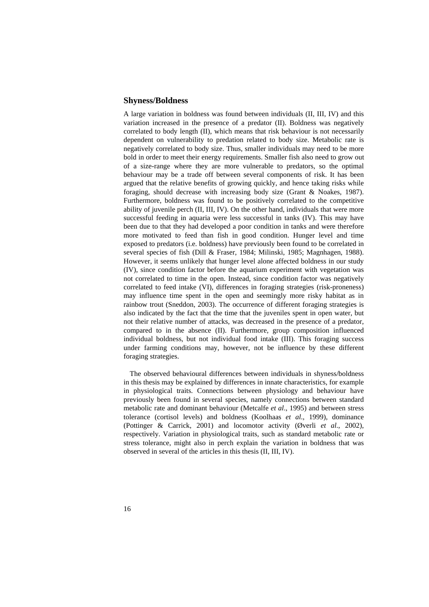#### **hyness/Boldness S**

A large variation in boldness was found between individuals (II, III, IV) and this variation increased in the presence of a predator (II). Boldness was negatively correlated to body length (II), which means that risk behaviour is not necessarily dependent on vulnerability to predation related to body size. Metabolic rate is negatively correlated to body size. Thus, smaller individuals may need to be more bold in order to meet their energy requirements. Smaller fish also need to grow out of a size-range where they are more vulnerable to predators, so the optimal behaviour may be a trade off between several components of risk. It has been argued that the relative benefits of growing quickly, and hence taking risks while foraging, should decrease with increasing body size (Grant & Noakes, 1987). Furthermore, boldness was found to be positively correlated to the competitive ability of juvenile perch (II, III, IV). On the other hand, individuals that were more successful feeding in aquaria were less successful in tanks (IV). This may have been due to that they had developed a poor condition in tanks and were therefore more motivated to feed than fish in good condition. Hunger level and time exposed to predators (i.e. boldness) have previously been found to be correlated in several species of fish (Dill & Fraser, 1984; Milinski, 1985; Magnhagen, 1988). However, it seems unlikely that hunger level alone affected boldness in our study (IV), since condition factor before the aquarium experiment with vegetation was not correlated to time in the open. Instead, since condition factor was negatively correlated to feed intake (VI), differences in foraging strategies (risk-proneness) may influence time spent in the open and seemingly more risky habitat as in rainbow trout (Sneddon, 2003). The occurrence of different foraging strategies is also indicated by the fact that the time that the juveniles spent in open water, but not their relative number of attacks, was decreased in the presence of a predator, compared to in the absence (II). Furthermore, group composition influenced individual boldness, but not individual food intake (III). This foraging success under farming conditions may, however, not be influence by these different foraging strategies.

in physiological traits. Connections between physiology and behaviour have previously been found in several species, namely connections between standard The observed behavioural differences between individuals in shyness/boldness in this thesis may be explained by differences in innate characteristics, for example metabolic rate and dominant behaviour (Metcalfe *et al*., 1995) and between stress tolerance (cortisol levels) and boldness (Koolhaas *et al*., 1999), dominance (Pottinger & Carrick, 2001) and locomotor activity (Øverli *et al*., 2002), respectively. Variation in physiological traits, such as standard metabolic rate or stress tolerance, might also in perch explain the variation in boldness that was observed in several of the articles in this thesis (II, III, IV).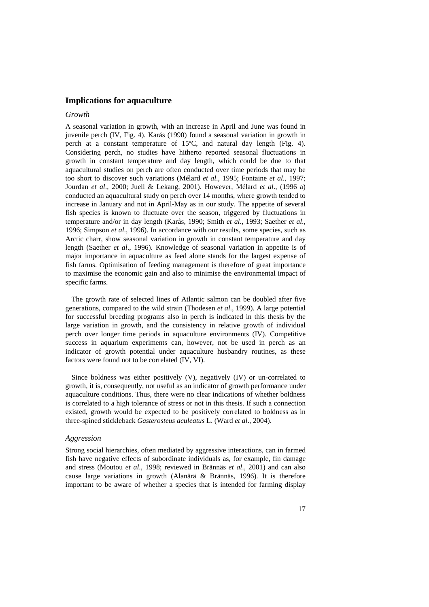#### **mplications for aquaculture I**

#### *rowth G*

A seasonal variation in growth, with an increase in April and June was found in juvenile perch (IV, Fig. 4). Karås (1990) found a seasonal variation in growth in perch at a constant temperature of 15°C, and natural day length (Fig. 4). Considering perch, no studies have hitherto reported seasonal fluctuations in growth in constant temperature and day length, which could be due to that aquacultural studies on perch are often conducted over time periods that may be too short to discover such variations (Mélard *et al*., 1995; Fontaine *et al*., 1997; Jourdan *et al*., 2000; Juell & Lekang, 2001). However, Mélard *et al*., (1996 a) conducted an aquacultural study on perch over 14 months, where growth tended to increase in January and not in April-May as in our study. The appetite of several fish species is known to fluctuate over the season, triggered by fluctuations in temperature and/or in day length (Karås, 1990; Smith *et al*., 1993; Saether *et al*., 1996; Simpson *et al*., 1996). In accordance with our results, some species, such as Arctic charr, show seasonal variation in growth in constant temperature and day length (Saether *et al*., 1996). Knowledge of seasonal variation in appetite is of major importance in aquaculture as feed alone stands for the largest expense of fish farms. Optimisation of feeding management is therefore of great importance to maximise the economic gain and also to minimise the environmental impact of specific farms.

for successful breeding programs also in perch is indicated in this thesis by the large variation in growth, and the consistency in relative growth of individual The growth rate of selected lines of Atlantic salmon can be doubled after five generations, compared to the wild strain (Thodesen *et al*., 1999). A large potential perch over longer time periods in aquaculture environments (IV). Competitive success in aquarium experiments can, however, not be used in perch as an indicator of growth potential under aquaculture husbandry routines, as these factors were found not to be correlated (IV, VI).

aquaculture conditions. Thus, there were no clear indications of whether boldness Since boldness was either positively (V), negatively (IV) or un-correlated to growth, it is, consequently, not useful as an indicator of growth performance under is correlated to a high tolerance of stress or not in this thesis. If such a connection existed, growth would be expected to be positively correlated to boldness as in three-spined stickleback *Gasterosteus aculeatus* L. (Ward *et al*., 2004).

#### *Aggression*

Strong social hierarchies, often mediated by aggressive interactions, can in farmed fish have negative effects of subordinate individuals as, for example, fin damage and stress (Moutou et al., 1998; reviewed in Brännäs et al., 2001) and can also cause large variations in growth (Alanärä & Brännäs, 1996). It is therefore important to be aware of whether a species that is intended for farming display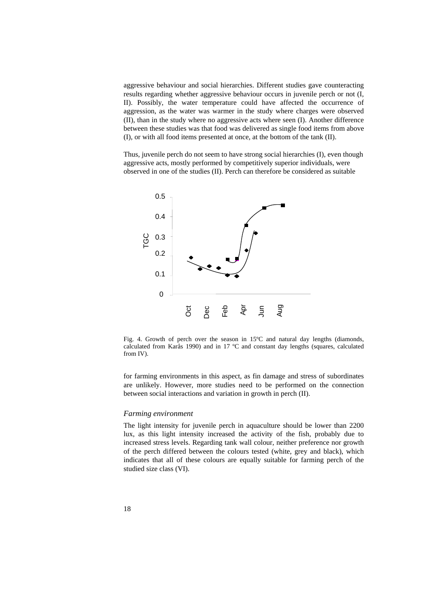aggressive behaviour and social hierarchies. Different studies gave counteracting results regarding whether aggressive behaviour occurs in juvenile perch or not (I, II). Possibly, the water temperature could have affected the occurrence of aggression, as the water was warmer in the study where charges were observed (II), than in the study where no aggressive acts where seen (I). Another difference between these studies was that food was delivered as single food items from above (I), or with all food items presented at once, at the bottom of the tank (II).

aggressive acts, mostly performed by competitively superior individuals, were observed in one of the studies (II). Perch can therefore be considered as suitable Thus, juvenile perch do not seem to have strong social hierarchies (I), even though



Fig. 4. Growth of perch over the season in  $15^{\circ}$ C and natural day lengths (diamonds, calculated from Karås 1990) and in 17 ºC and constant day lengths (squares, calculated from IV).

are unlikely. However, more studies need to be performed on the connection between social interactions and variation in growth in perch (II). for farming environments in this aspect, as fin damage and stress of subordinates

#### *Farming environment*

The light intensity for juvenile perch in aquaculture should be lower than 2200 lux, as this light intensity increased the activity of the fish, probably due to increased stress levels. Regarding tank wall colour, neither preference nor growth of the perch differed between the colours tested (white, grey and black), which indicates that all of these colours are equally suitable for farming perch of the studied size class (VI).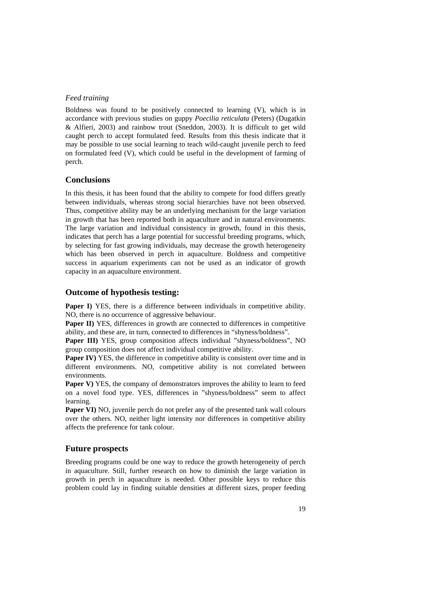#### *Feed training*

Boldness was found to be positively connected to learning (V), which is in accordance with previous studies on guppy Poecilia reticulata (Peters) (Dugatkin Alfieri, 2003) and rainbow trout (Sneddon, 2003). It is difficult to get wild & caught perch to accept formulated feed. Results from this thesis indicate that it may be possible to use social learning to teach wild-caught juvenile perch to feed on formulated feed (V), which could be useful in the development of farming of perch.

#### **Conclusions**

between individuals, whereas strong social hierarchies have not been observed. Thus, competitive ability may be an underlying mechanism for the large variation in growth that has been reported both in aquaculture and in natural environments. In this thesis, it has been found that the ability to compete for food differs greatly The large variation and individual consistency in growth, found in this thesis, indicates that perch has a large potential for successful breeding programs, which, by selecting for fast growing individuals, may decrease the growth heterogeneity which has been observed in perch in aquaculture. Boldness and competitive success in aquarium experiments can not be used as an indicator of growth capacity in an aquaculture environment.

#### **Outcome of hypothesis testing:**

NO, there is no occurrence of aggressive behaviour. **Paper I)** YES, there is a difference between individuals in competitive ability.

Paper II) YES, differences in growth are connected to differences in competitive ability, and these are, in turn, connected to differences in "shyness/boldness".

Paper III) YES, group composition affects individual "shyness/boldness", NO group composition does not affect individual competitive ability.

**Paper IV**) YES, the difference in competitive ability is consistent over time and in different environments. NO, competitive ability is not correlated between environments.

**Paper V)** YES, the company of demonstrators improves the ability to learn to feed on a novel food type. YES, differences in "shyness/boldness" seem to affect learning.

**Paper VI)** NO, juvenile perch do not prefer any of the presented tank wall colours over the others. NO, neither light intensity nor differences in competitive ability affects the preference for tank colour.

#### **Future prospects**

in aquaculture. Still, further research on how to diminish the large variation in growth in perch in aquaculture is needed. Other possible keys to reduce this problem could lay in finding suitable densities at different sizes, proper feeding Breeding programs could be one way to reduce the growth heterogeneity of perch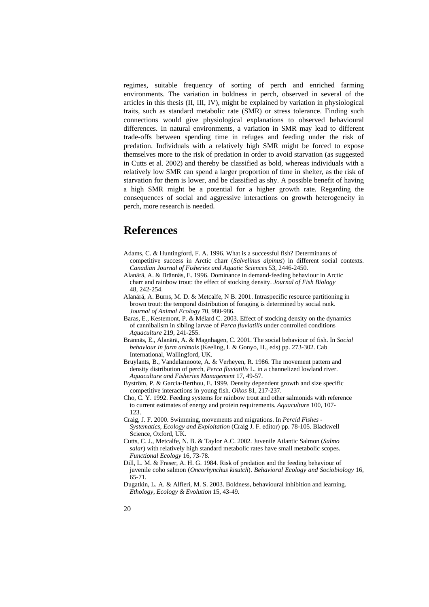regimes, suitable frequency of sorting of perch and enriched farming environments. The variation in boldness in perch, observed in several of the articles in this thesis (II, III, IV), might be explained by variation in physiological traits, such as standard metabolic rate (SMR) or stress tolerance. Finding such connections would give physiological explanations to observed behavioural differences. In natural environments, a variation in SMR may lead to different trade-offs between spending time in refuges and feeding under the risk of predation. Individuals with a relatively high SMR might be forced to expose themselves more to the risk of predation in order to avoid starvation (as suggested in Cutts et al. 2002) and thereby be classified as bold, whereas individuals with a relatively low SMR can spend a larger proportion of time in shelter, as the risk of starvation for them is lower, and be classified as shy. A possible benefit of having a high SMR might be a potential for a higher growth rate. Regarding the consequences of social and aggressive interactions on growth heterogeneity in perch, more research is needed.

# **References**

- Adams, C. & Huntingford, F. A. 1996. What is a successful fish? Determinants of competitive success in Arctic charr (*Salvelinus alpinus*) in different social contexts. *f Fisheries and Aquatic Sciences* 53, 2446-2450. *Canadian Journal o*
- Alanärä, A. & Brännäs, E. 1996. Dominance in demand-feeding behaviour in Arctic charr and rainbow trout: the effect of stocking density. *Journal of Fish Biology* 48, 242-254.
- A lanärä, A. Burns, M. D. & Metcalfe, N B. 2001. Intraspecific resource partitioning in brown trout: the temporal distribution of foraging is determined by social rank. *Journal of Animal Ecology* 70, 980-986.
- Baras, E., Kestemont, P. & Mélard C. 2003. Effect of stocking density on the dynamics of cannibalism in sibling larvae of *Perca fluviatilis* under controlled conditions *Aquaculture* 219, 241-255.

Brännäs, E., Alanärä, A. & Magnhagen, C. 2001. The social behaviour of fish. In *Social behaviour in farm animals* (Keeling, L & Gonyo, H., eds) pp. 273-302. Cab International, Wallingford, UK.

- Bruylants, B., Vandelannoote, A. & Verheyen, R. 1986. The movement pattern and density distribution of perch, *Perca fluviatilis* L. in a channelized lowland river. *Aquaculture and Fisheries Management* 17, 49-57.
- Byström, P. & Garcia-Berthou, E. 1999. Density dependent growth and size specific competitive interactions in young fish. *Oikos* 81, 217-237.
- Cho, C. Y. 1992. Feeding systems for rainbow trout and other salmonids with reference to current estimates of energy and protein requirements. *Aquaculture* 100, 107- 123.
- Craig, J. F. 2000. Swimming, movements and migrations. In *Percid Fishes Systematics, Ecology and Exploitation* (Craig J. F. editor) pp. 78-105. Blackwell Science, Oxford, UK.
- Cutts, C. J., Metcalfe, N. B. & Taylor A.C. 2002. Juvenile Atlantic Salmon (*Salmo salar*) with relatively high standard metabolic rates have small metabolic scopes. *Functional Ecology* 16, 73-78.
- D ill, L. M. & Fraser, A. H. G. 1984. Risk of predation and the feeding behaviour of juvenile coho salmon (*Oncorhynchus kisutch*). *Behavioral Ecology and Sociobiology* 16, 65-71.
- Dugatkin, L. A. & Alfieri, M. S. 2003. Boldness, behavioural inhibition and learning. *Ethology, Ecology & Evolution* 15, 43-49.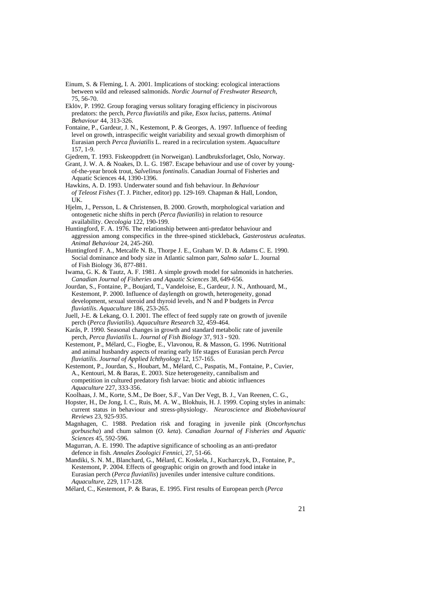- 75, 56-70. Einum, S. & Fleming, I. A. 2001. Implications of stocking: ecological interactions between wild and released salmonids. *Nordic Journal of Freshwater Research*,
- predators: the perch, *Perca fluviatilis* and pike, *Esox lucius*, patterns. *Animal* Eklöv, P. 1992. Group foraging versus solitary foraging efficiency in piscivorous *Behaviour* 44, 313-326.
- Fontaine, P., Gardeur, J. N., Kestemont, P. & Georges, A. 1997. Influence of feeding level on growth, intraspecific weight variability and sexual growth dimorphism of Eurasian perch *Perca fluviatilis* L. reared in a recirculation system. *Aquaculture* 157, 1-9.
- Gjedrem, T. 1993. Fiskeoppdrett (in Norweigan). Landbruksforlaget, Oslo, Norway.
- Grant, J. W. A. & Noakes, D. L. G. 1987. Escape behaviour and use of cover by youngof-the-year brook trout, *Salvelinus fontinalis*. Canadian Journal of Fisheries and Aquatic Sciences 44, 1390-1396.
- Hawkins, A. D. 1993. Underwater sound and fish behaviour. In *Behaviour of Teleost Fishes* (T. J. Pitcher, editor) pp. 129-169. Chapman & Hall, London, UK.
- Hjelm, J., Persson, L. & Christensen, B. 2000. Growth, morphological variation and ontogenetic niche shifts in perch (*Perca fluviatilis*) in relation to resource availability. *Oecologia* 122, 190-199.
- aggression among conspecifics in the three-spined stickleback, *Gasterosteus aculeatus*. Huntingford, F. A. 1976. The relationship between anti-predator behaviour and *Animal Behaviour* 24, 245-260.
- Huntingford F. A., Metcalfe N. B., Thorpe J. E., Graham W. D. & Adams C. E. 1990. Social dominance and body size in Atlantic salmon parr, *Salmo salar* L. Journal of Fish Biology 36, 877-881.
- Iw ama, G. K. & Tautz, A. F. 1981. A simple growth model for salmonids in hatcheries. Canadian Journal of Fisheries and Aquatic Sciences 38, 649-656.
- development, sexual steroid and thyroid levels, and N and P budgets in *Perca* Jourdan, S., Fontaine, P., Boujard, T., Vandeloise, E., Gardeur, J. N., Anthouard, M., Kestemont, P. 2000. Influence of daylength on growth, heterogeneity, gonad *fluviatilis*. *Aquaculture* 186, 253-265.
- Juell, J-E. & Lekang, O. I. 2001. The effect of feed supply rate on growth of juvenile perch (*Perca fluviatilis*). *Aquaculture Research* 32, 459-464.
- Karås, P. 1990. Seasonal changes in growth and standard metabolic rate of juvenile perch, *Perca fluviatilis* L. *Journal of Fish Biology* 37, 913 - 920.
- Kestemont, P., Mélard, C., Fiogbe, E., Vlavonou, R. & Masson, G. 1996. Nutritional and animal husbandry aspects of rearing early life stages of Eurasian perch *Perca fluviatilis*. *Journal of Applied Ichthyology* 12, 157-165.
- Kestemont, P., Jourdan, S., Houbart, M., Mélard, C., Paspatis, M., Fontaine, P., Cuvier, A., Kentouri, M. & Baras, E. 2003. Size heterogeneity, cannibalism and competition in cultured predatory fish larvae: biotic and abiotic influences *Aquaculture* 227, 333-356.
- Koolhaas, J. M., Korte, S.M., De Boer, S.F., Van Der Vegt, B. J., Van Reenen, C. G.,
- Hopster, H., De Jong, I. C., Ruis, M. A. W., Blokhuis, H. J. 1999. Coping styles in animals: *Biobehavioural*  current status in behaviour and stress-physiology. *Neuroscience and Reviews* 23, 925-935.
- Magnhagen, C. 1988. Predation risk and foraging in juvenile pink (*Oncorhynchus atic gorbuscha*) and chum salmon (*O*. *keta*). *Canadian Journal of Fisheries and Aqu Sciences* 45, 592-596.
- M agurran, A. E. 1990. The adaptive significance of schooling as an anti-predator defence in fish. Annales Zoologici Fennici, 27, 51-66.
- Eurasian perch (*Perca fluviatilis*) juveniles under intensive culture conditions. Mandiki, S. N. M., Blanchard, G., Mélard, C. Koskela, J., Kucharczyk, D., Fontaine, P., Kestemont, P. 2004. Effects of geographic origin on growth and food intake in *Aquaculture*, 229, 117-128.
- Mélard, C., Kestemont, P. & Baras, E. 1995. First results of European perch (Perca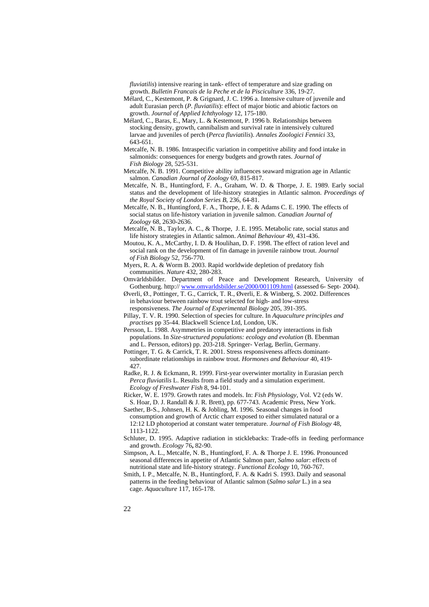*fluviatilis*) intensive rearing in tank- effect of temperature and size grading on growth. *Bulletin Francais de la Peche et de la Pisciculture* 336, 19-27.

- Mélard, C., Kestemont, P. & Grignard, J. C. 1996 a. Intensive culture of juvenile and adult Eurasian perch (*P. fluviatilis*): effect of major biotic and abiotic factors on growth. *Journal of Applied Ichthyology* 12, 175-180.
- M élard, C., Baras, E., Mary, L. & Kestemont, P. 1996 b. Relationships between stocking density, growth, cannibalism and survival rate in intensively cultured larvae and juveniles of perch (*Perca fluviatilis*). *Annales Zoologici Fennici* 33, 643-651.
- Metcalfe, N. B. 1986. Intraspecific variation in competitive ability and food intake in salmonids: consequences for energy budgets and growth rates. *Journal of Fish Biology* 28, 525-531.
- Metcalfe, N. B. 1991. Competitive ability influences seaward migration age in Atlantic salmon. *Canadian Journal of Zoology* 69, 815-817.
- Metcalfe, N. B., Huntingford, F. A., Graham, W. D. & Thorpe, J. E. 1989. Early social status and the development of life-history strategies in Atlantic salmon. *Proceedings of Series B*, 236, 64-81. *the Royal Society of London*
- social status on life-history variation in juvenile salmon. Canadian Journal of Metcalfe, N. B., Huntingford, F. A., Thorpe, J. E. & Adams C. E. 1990. The effects of *Zoology* 68, 2630-2636.
- M etcalfe, N. B., Taylor, A. C., & Thorpe, J. E. 1995. Metabolic rate, social status and life history strategies in Atlantic salmon. *Animal Behaviour* 49, 431-436.
- *l*  social rank on the development of fin damage in juvenile rainbow trout. *Journa* 70. *of Fish Biology* 52, 756-7 Moutou, K. A., McCarthy, I. D. & Houlihan, D. F. 1998. The effect of ration level and
- Myers, R. A. & Worm B. 2003. Rapid worldwide depletion of predatory fish communities. *Nature* 432, 280-283.
- Omvärldsbilder. Department of Peace and Development Research, University of Gothenburg. http://www.omvarldsbilder.se/2000/001109.html (assessed 6- Sept- 2004).
- Øverli, Ø., Pottinger, T. G., Carrick, T. R., Øverli, E. & Winberg, S. 2002. Differences in behaviour between rainbow trout selected for high- and low-stress
- responsiveness. The Journal of Experimental Biology 205, 391-395. Pillay, T. V. R. 1990. Selection of species for culture. In *Aquaculture principles and practises* pp 35-44. Blackwell Science Ltd, London, UK.
- populations. In *Size-structured populations: ecology and evolution* (B. Ebenman and L. Persson, editors) pp. 203-218. Springer- Verlag, Berlin, Germany. Persson, L. 1988. Asymmetries in competitive and predatory interactions in fish
- subordinate relationships in rainbow trout. *Hormones and Behaviour* 40, 419-Pottinger, T. G. & Carrick, T. R. 2001. Stress responsiveness affects dominant-427.
- . *Perca fluviatilis* L. Results from a field study and a simulation experiment Radke, R. J. & Eckmann, R. 1999. First-year overwinter mortality in Eurasian perch *Ecology of Freshwater Fish* 8, 94-101.
- Ricker, W. E. 1979. Growth rates and models. In: *Fish Physiology*, Vol. V2 (eds W. S. Hoar, D. J. Randall & J. R. Brett), pp. 677-743. Academic Press, New York.
- consumption and growth of Arctic charr exposed to either simulated natural or a 12:12 LD photoperiod at constant water temperature. *Journal of Fish Biology* 48, Saether, B-S., Johnsen, H. K. & Jobling, M. 1996. Seasonal changes in food 1113-1122.
- Schluter, D. 1995. Adaptive radiation in sticklebacks: Trade-offs in feeding performance and growth. *Ecology* 76**,** 82-90.
- Simpson, A. L., Metcalfe, N. B., Huntingford, F. A. & Thorpe J. E. 1996. Pronounced nutritional state and life-history strategy. Functional Ecology 10, 760-767. seasonal differences in appetite of Atlantic Salmon parr, *Salmo salar*: effects of
- patterns in the feeding behaviour of Atlantic salmon (*Salmo salar* L.) in a sea Smith, I. P., Metcalfe, N. B., Huntingford, F. A. & Kadri S. 1993. Daily and seasonal cage. *Aquaculture* 117, 165-178.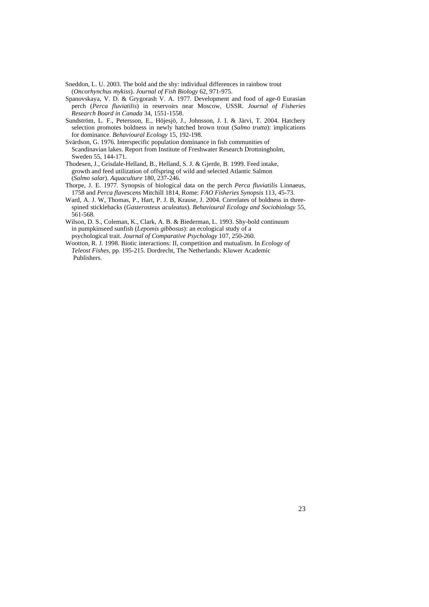Sn eddon, L. U. 2003. The bold and the shy: individual differences in rainbow trout (*Oncorhynchus mykiss*). *Journal of Fish Biology* 62, 971-975.

- Spanovskaya, V. D. & Grygorash V. A. 1977. Development and food of age-0 Eurasian *Fisheries*  perch (*Perca fluviatilis*) in reservoirs near Moscow, USSR. *Journal of*  51-1558. *Research Board in Canada* 34, 15
- Sundström, L. F., Petersson, E., Höjesjö, J., Johnsson, J. I. & Järvi, T. 2004. Hatchery selection promotes boldness in newly hatched brown trout (*Salmo trutta*): implications for dominance. *Behavioural Ecology* 15, 192-198.
- Sv ärdson, G. 1976. Interspecific population dominance in fish communities of Scandinavian lakes. Report from Institute of Freshwater Research Drottningholm, Sweden 55, 144-171.
- T hodesen, J., Grisdale-Helland, B., Helland, S. J. & Gjerde, B. 1999. Feed intake, growth and feed utilization of offspring of wild and selected Atlantic Salmon (*Salmo salar*). *Aquaculture* 180, 237-246.
- Thorpe, J. E. 1977. Synopsis of biological data on the perch *Perca fluviatilis* Linnaeus, 1758 and Perca flavescens Mitchill 1814, Rome: FAO Fisheries Synopsis 113, 45-73.
- Ward, A. J. W, Thomas, P., Hart, P. J. B, Krause, J. 2004. Correlates of boldness in threespined sticklebacks (*Gasterosteus aculeatus*). *Behavioural Ecology and Sociobiology* 55, 561-568.
- Wilson, D. S., Coleman, K., Clark, A. B. & Biederman, L. 1993. Shy-bold continuum in pumpkinseed sunfish (*Lepomis gibbosus*): an ecological study of a psychological trait. *Journal of Comparative Psychology* 107, 250-260.
- W ootton, R. J. 1998. Biotic interactions: II, competition and mutualism. In *Ecology of shes,* pp. 195-215. Dordrecht, The Netherlands: Kluwer Academic *Teleost Fi* Publishers.